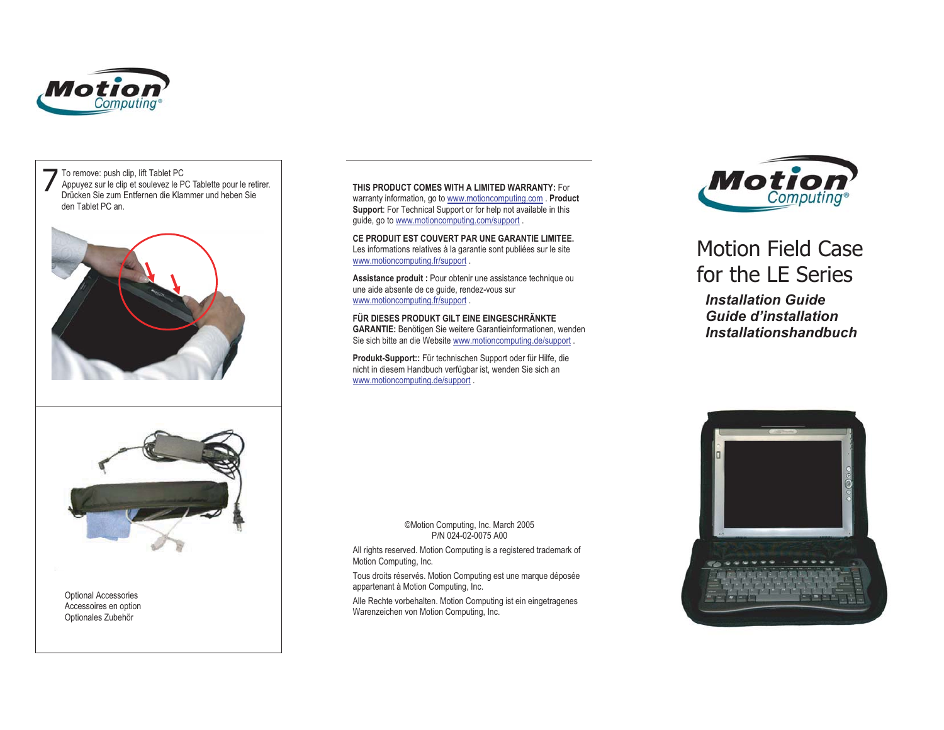



Optional Accessories Accessoires en option Optionales Zubehör

 **THIS PRODUCT COMES WITH A LIMITED WARRANTY:** For warranty information, go to www.motioncomputing.com . **Product Support**: For Technical Support or for help not available in this guide, go to www.motioncomputing.com/support .

**CE PRODUIT EST COUVERT PAR UNE GARANTIE LIMITEE.**Les informations relatives à la garantie sont publiées sur le site www.motioncomputing.fr/support .

**Assistance produit :** Pour obtenir une assistance technique ou une aide absente de ce guide, rendez-vous sur www.motioncomputing.fr/support .

**FÜR DIESES PRODUKT GILT EINE EINGESCHRÄNKTE GARANTIE:** Benötigen Sie weitere Garantieinformationen, wenden Sie sich bitte an die Website www.motioncomputing.de/support .

**Produkt-Support::** Für technischen Support oder für Hilfe, die nicht in diesem Handbuch verfügbar ist, wenden Sie sich an www.motioncomputing.de/support .



## Motion Field Casefor the LE Series

*Installation Guide Guide d'installation Installationshandbuch*



All rights reserved. Motion Computing is a registered trademark of Motion Computing, Inc.

Tous droits réservés. Motion Computing est une marque déposée appartenant à Motion Computing, Inc.

Alle Rechte vorbehalten. Motion Computing ist ein eingetragenes Warenzeichen von Motion Computing, Inc.